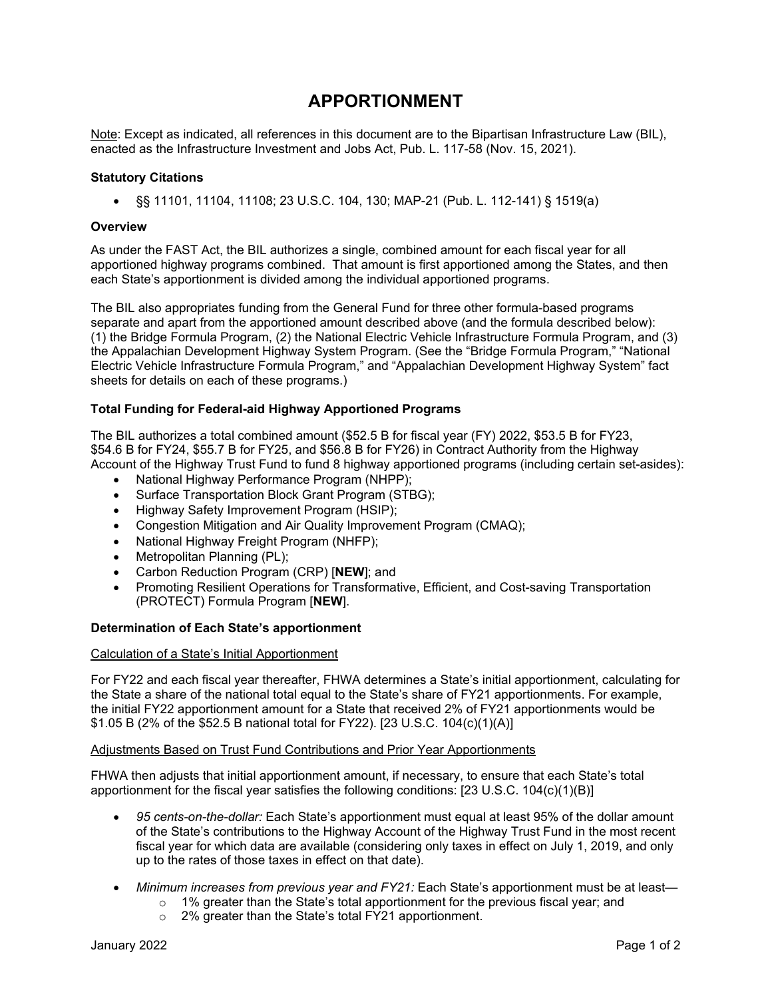# **APPORTIONMENT**

Note: Except as indicated, all references in this document are to the Bipartisan Infrastructure Law (BIL), enacted as the Infrastructure Investment and Jobs Act, Pub. L. 117-58 (Nov. 15, 2021).

## **Statutory Citations**

• §§ 11101, 11104, 11108; 23 U.S.C. 104, 130; MAP-21 (Pub. L. 112-141) § 1519(a)

### **Overview**

As under the FAST Act, the BIL authorizes a single, combined amount for each fiscal year for all apportioned highway programs combined. That amount is first apportioned among the States, and then each State's apportionment is divided among the individual apportioned programs.

The BIL also appropriates funding from the General Fund for three other formula-based programs separate and apart from the apportioned amount described above (and the formula described below): (1) the Bridge Formula Program, (2) the National Electric Vehicle Infrastructure Formula Program, and (3) the Appalachian Development Highway System Program. (See the "Bridge Formula Program," "National Electric Vehicle Infrastructure Formula Program," and "Appalachian Development Highway System" fact sheets for details on each of these programs.)

# **Total Funding for Federal-aid Highway Apportioned Programs**

The BIL authorizes a total combined amount (\$52.5 B for fiscal year (FY) 2022, \$53.5 B for FY23, \$54.6 B for FY24, \$55.7 B for FY25, and \$56.8 B for FY26) in Contract Authority from the Highway Account of the Highway Trust Fund to fund 8 highway apportioned programs (including certain set-asides):

- National Highway Performance Program (NHPP);
- Surface Transportation Block Grant Program (STBG);
- Highway Safety Improvement Program (HSIP);
- Congestion Mitigation and Air Quality Improvement Program (CMAQ);
- National Highway Freight Program (NHFP);
- Metropolitan Planning (PL);
- Carbon Reduction Program (CRP) [**NEW**]; and
- Promoting Resilient Operations for Transformative, Efficient, and Cost-saving Transportation (PROTECT) Formula Program [**NEW**].

### **Determination of Each State's apportionment**

### Calculation of a State's Initial Apportionment

For FY22 and each fiscal year thereafter, FHWA determines a State's initial apportionment, calculating for the State a share of the national total equal to the State's share of FY21 apportionments. For example, the initial FY22 apportionment amount for a State that received 2% of FY21 apportionments would be \$1.05 B (2% of the \$52.5 B national total for FY22). [23 U.S.C. 104(c)(1)(A)]

## Adjustments Based on Trust Fund Contributions and Prior Year Apportionments

FHWA then adjusts that initial apportionment amount, if necessary, to ensure that each State's total apportionment for the fiscal year satisfies the following conditions: [23 U.S.C. 104(c)(1)(B)]

- *95 cents-on-the-dollar:* Each State's apportionment must equal at least 95% of the dollar amount of the State's contributions to the Highway Account of the Highway Trust Fund in the most recent fiscal year for which data are available (considering only taxes in effect on July 1, 2019, and only up to the rates of those taxes in effect on that date).
- *Minimum increases from previous year and FY21:* Each State's apportionment must be at least—
	- $\circ$  1% greater than the State's total apportionment for the previous fiscal year; and
	- o 2% greater than the State's total FY21 apportionment.